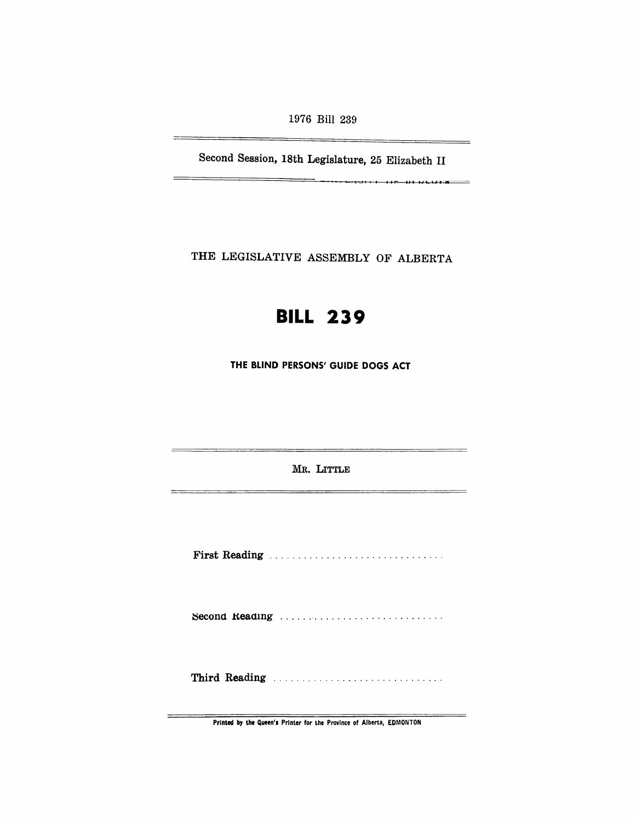1976 Bill 239

<u> The Common Section and Section and Section and Section and Section and Section and Section and Section and Section and Section and Section and Section and Section and Section and Section and Section and Section and Secti</u>

÷,

Second Session, 18th Legislature, 25 Elizabeth II

 $\overline{\phantom{a}}$ 

THE LEGISLATIVE ASSEMBLY OF ALBERTA

# **BILL 239**

THE BLIND PERSONS' GUIDE DOGS ACT

MR. LITTLE

First Reading .............................. .

Second Reading ................................

Third Reading ............................. .

Printed by the Queen's Printer for the Province of Alberta, EDMONTON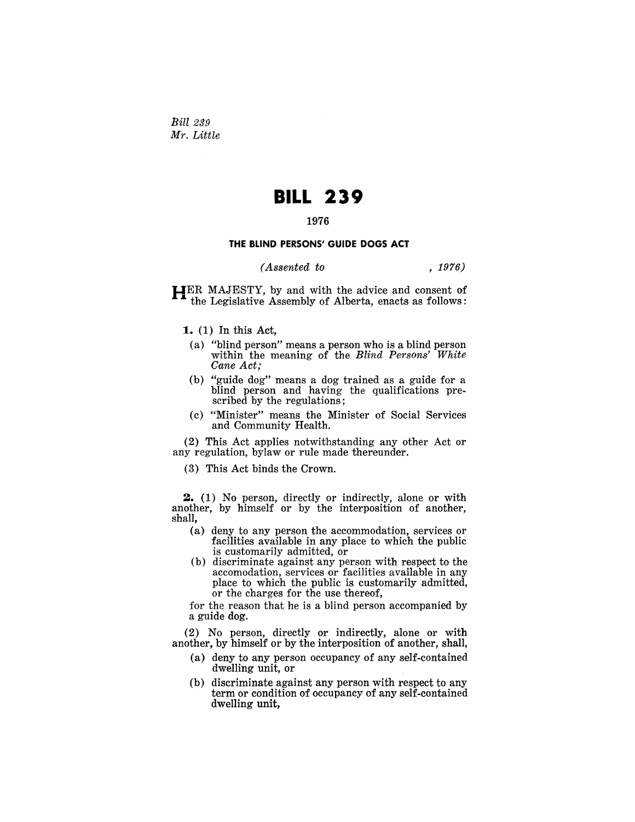Bill 239 *Mr. Little* 

## **BILL 239**

#### 1976

#### **THE BLIND PERSONS' GUIDE DOGS ACT**

### *(Assented to* , 1976)

 $H_{\text{L}}$ ER MAJESTY, by and with the advice and consent of the Legislative Assembly of Alberta, enacts as follows:

**1.** (1) In this Act,

- (a) "blind person" means a person who is a blind person within the meaning of the *Blind Persons' White Cane Act;*
- (b) "guide dog" means a dog trained as a guide for a blind person and having the qualifications prescribed by the regulations;
- (c) "Minister" means the Minister of Social Services and Community Health.

 $(2)$  This Act applies notwithstanding any other Act or any regulation, bylaw or rule made thereunder.

 $(3)$  This Act binds the Crown.

**2.** (1) No person, directly or indirectly, alone or with another, by himself or by the interposition of another, shall,

- (a) deny to any person the accommodation, services or facilities available in any place to which the public is customarily admitted, or
- (b) discriminate against any person with respect to the accomodation, services or facilities available in any place to which the public is customarily admitted, or the charges for the use thereof,

for the reason that he is a blind person accompanied by a guide dog.

(2) No person, directly or indirectly, alone or with another, by himself or by the interposition of another, shall,

- (a) deny to any person occupancy of any self-contained dwelling unit, or
- (b) discriminate against any person with respect to any term or condition of occupancy of any self-contained dwelling unit,